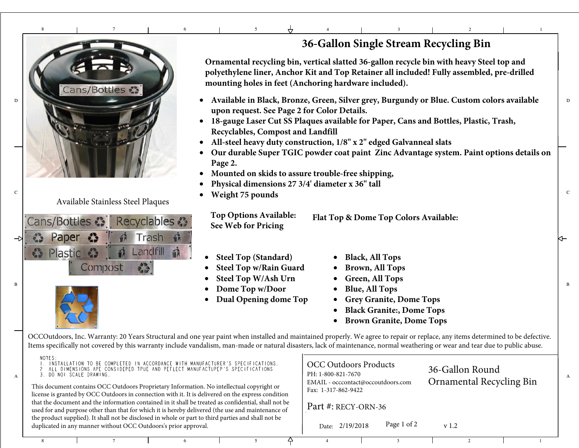## 8<sup>7</sup> <sup>6</sup> 5<sup>4</sup> <sup>3</sup> <sup>2</sup> <sup>1</sup>



Available Stainless Steel Plaques





C

B

A

## **36-Gallon Single Stream Recycling Bin**

**Ornamental recycling bin, vertical slatted 36-gallon recycle bin with heavy Steel top and polyethylene liner, Anchor Kit and Top Retainer all included! Fully assembled, pre-drilled mounting holes in feet (Anchoring hardware included).**

- **• Available in Black, Bronze, Green, Silver grey, Burgundy or Blue. Custom colors available upon request. See Page 2 for Color Details.**
	- **18-gauge Laser Cut SS Plaques available for Paper, Cans and Bottles, Plastic, Trash, Recyclables, Compost and Landfill**
	- **All-steel heavy duty construction, 1/8" x 2" edged Galvanneal slats**
	- • **Our durable Super TGIC powder coat paint Zinc Advantage system. Paint options details onPage 2.**
	- •**Mounted on skids to assure trouble-free shipping,**
	- •**Physical dimensions 27 3/4' diameter x 36" tall**
- c
and the contract of the plasma **c weight 75 pounds** •

**Top Options Available:See Web for PricingFlat Top & Dome Top Colors Available:**

- •**Steel Top (Standard)**
- •**Steel Top w/Rain Guard**
- •**Steel Top W/Ash Urn**
- $\bullet$  Dome Top w/Door  $\bullet$  Blue, All Tops •
	- •**Dual Opening dome Top**
- •**Black, All Tops**
- •**Brown, All Tops**
- •**Green, All Tops**
- •**Blue, All Tops**
- **Grey Granite, Dome Tops**
- •**Black Granite:, Dome Tops**
- •**Brown Granite, Dome Tops**

OCCOutdoors, Inc. Warranty: 20 Years Structural and one year paint when installed and maintained properly. We agree to repair or replace, any items determined to be defective. Items specifically not covered by this warranty include vandalism, man-made or natural disasters, lack of maintenance, normal weathering or wear and tear due to public abuse.

| NOTES:<br>. INSTALLATION TO BE COMPLETED IN ACCORDANCE WITH MANUFACTURER'S SPECIFICATIONS.<br>ALL DIMENSIONS APE CONSIDEPED TPUE AND PEFLECT MANUFACTUPEP'S SPECIFICATIONS<br>3. DO NOI SCALE DRAWING.<br>This document contains OCC Outdoors Proprietary Information. No intellectual copyright or<br>license is granted by OCC Outdoors in connection with it. It is delivered on the express condition |  |                     | <b>OCC Outdoors Products</b><br>PH: 1-800-821-7670<br>EMAIL - occcontact@occoutdoors.com<br>Fax: 1-317-862-9422 |  |             | 36-Gallon Round<br><b>Ornamental Recycling Bin</b> |  |  |  |  |
|-----------------------------------------------------------------------------------------------------------------------------------------------------------------------------------------------------------------------------------------------------------------------------------------------------------------------------------------------------------------------------------------------------------|--|---------------------|-----------------------------------------------------------------------------------------------------------------|--|-------------|----------------------------------------------------|--|--|--|--|
| that the document and the information contained in it shall be treated as confidential, shall not be<br>used for and purpose other than that for which it is hereby delivered (the use and maintenance of                                                                                                                                                                                                 |  | Part #: RECY-ORN-36 |                                                                                                                 |  |             |                                                    |  |  |  |  |
| the product supplied). It shall not be disclosed in whole or part to third parties and shall not be<br>duplicated in any manner without OCC Outdoors's prior approval.                                                                                                                                                                                                                                    |  |                     | Date: 2/19/2018                                                                                                 |  | Page 1 of 2 | v <sub>1.2</sub>                                   |  |  |  |  |
|                                                                                                                                                                                                                                                                                                                                                                                                           |  |                     |                                                                                                                 |  |             |                                                    |  |  |  |  |